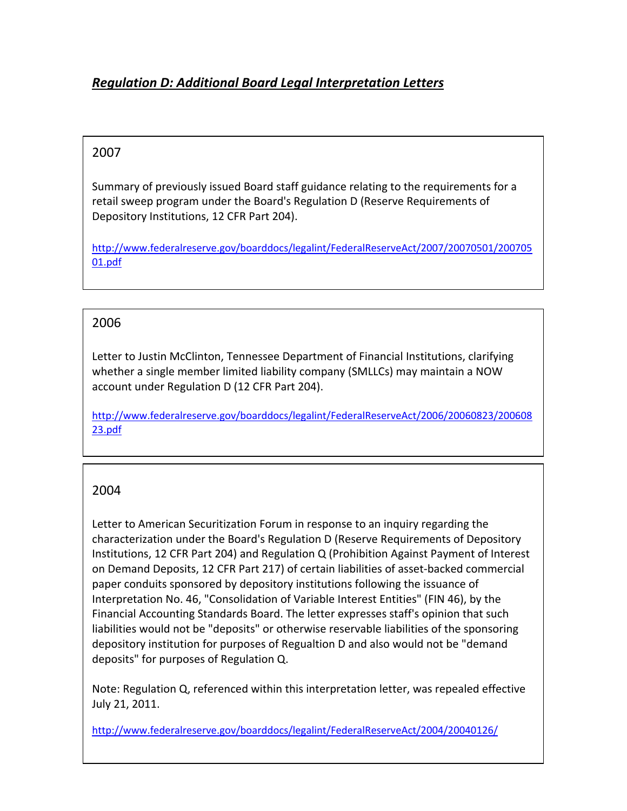# *Regulation D: Additional Board Legal Interpretation Letters*

### 2007

Summary of previously issued Board staff guidance relating to the requirements for a retail sweep program under the Board's Regulation D (Reserve Requirements of Depository Institutions, 12 CFR Part 204).

http://www.federalreserve.gov/boarddocs/legalint/FederalReserveAct/2007/20070501/200705 01.pdf

#### 2006

Letter to Justin McClinton, Tennessee Department of Financial Institutions, clarifying whether a single member limited liability company (SMLLCs) may maintain a NOW account under Regulation D (12 CFR Part 204).

http://www.federalreserve.gov/boarddocs/legalint/FederalReserveAct/2006/20060823/200608 23.pdf

## 2004

Letter to American Securitization Forum in response to an inquiry regarding the characterization under the Board's Regulation D (Reserve Requirements of Depository Institutions, 12 CFR Part 204) and Regulation Q (Prohibition Against Payment of Interest on Demand Deposits, 12 CFR Part 217) of certain liabilities of asset‐backed commercial paper conduits sponsored by depository institutions following the issuance of Interpretation No. 46, "Consolidation of Variable Interest Entities" (FIN 46), by the Financial Accounting Standards Board. The letter expresses staff's opinion that such liabilities would not be "deposits" or otherwise reservable liabilities of the sponsoring depository institution for purposes of Regualtion D and also would not be "demand deposits" for purposes of Regulation Q.

Note: Regulation Q, referenced within this interpretation letter, was repealed effective July 21, 2011.

http://www.federalreserve.gov/boarddocs/legalint/FederalReserveAct/2004/20040126/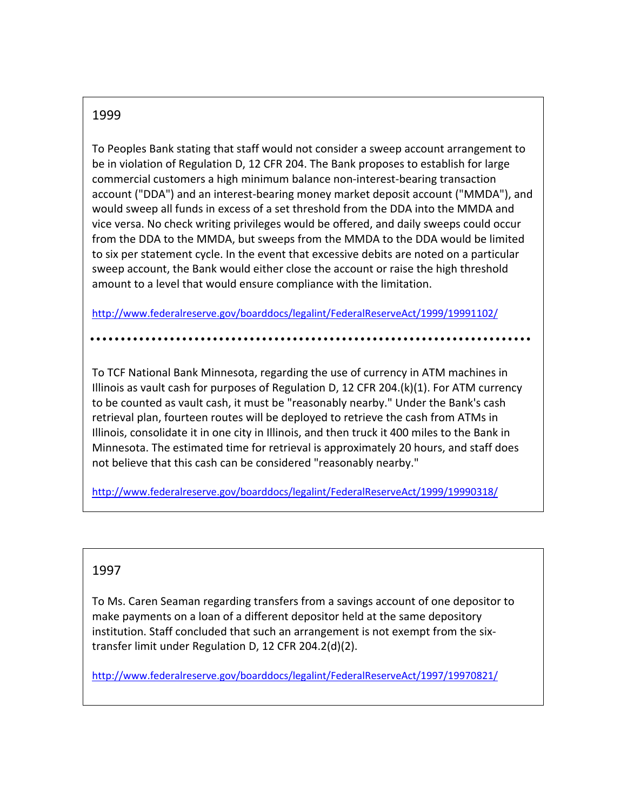#### 1999

To Peoples Bank stating that staff would not consider a sweep account arrangement to be in violation of Regulation D, 12 CFR 204. The Bank proposes to establish for large commercial customers a high minimum balance non‐interest‐bearing transaction account ("DDA") and an interest‐bearing money market deposit account ("MMDA"), and would sweep all funds in excess of a set threshold from the DDA into the MMDA and vice versa. No check writing privileges would be offered, and daily sweeps could occur from the DDA to the MMDA, but sweeps from the MMDA to the DDA would be limited to six per statement cycle. In the event that excessive debits are noted on a particular sweep account, the Bank would either close the account or raise the high threshold amount to a level that would ensure compliance with the limitation.

http://www.federalreserve.gov/boarddocs/legalint/FederalReserveAct/1999/19991102/

To TCF National Bank Minnesota, regarding the use of currency in ATM machines in Illinois as vault cash for purposes of Regulation D, 12 CFR 204.(k)(1). For ATM currency to be counted as vault cash, it must be "reasonably nearby." Under the Bank's cash retrieval plan, fourteen routes will be deployed to retrieve the cash from ATMs in Illinois, consolidate it in one city in Illinois, and then truck it 400 miles to the Bank in Minnesota. The estimated time for retrieval is approximately 20 hours, and staff does not believe that this cash can be considered "reasonably nearby."

http://www.federalreserve.gov/boarddocs/legalint/FederalReserveAct/1999/19990318/

#### 1997

To Ms. Caren Seaman regarding transfers from a savings account of one depositor to make payments on a loan of a different depositor held at the same depository institution. Staff concluded that such an arrangement is not exempt from the six‐ transfer limit under Regulation D, 12 CFR 204.2(d)(2).

http://www.federalreserve.gov/boarddocs/legalint/FederalReserveAct/1997/19970821/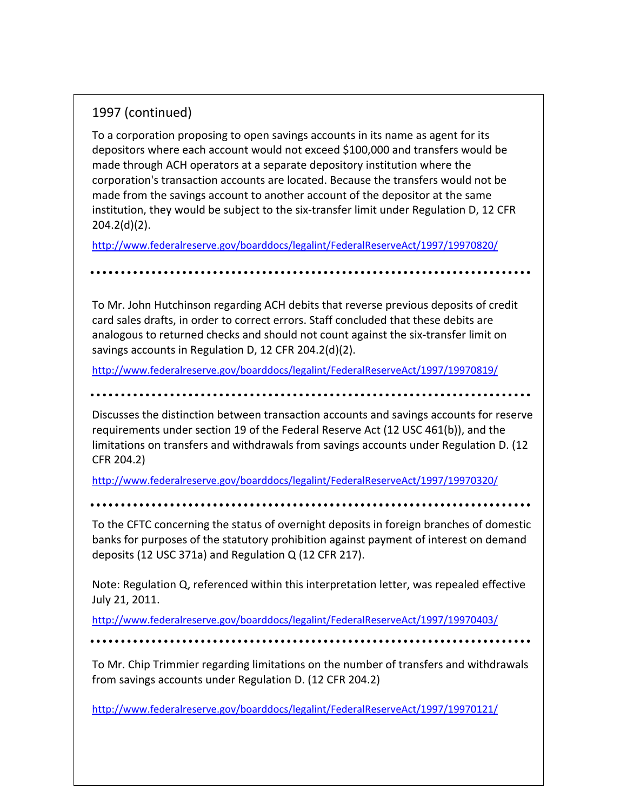## 1997 (continued)

To a corporation proposing to open savings accounts in its name as agent for its depositors where each account would not exceed \$100,000 and transfers would be made through ACH operators at a separate depository institution where the corporation's transaction accounts are located. Because the transfers would not be made from the savings account to another account of the depositor at the same institution, they would be subject to the six‐transfer limit under Regulation D, 12 CFR 204.2(d)(2).

http://www.federalreserve.gov/boarddocs/legalint/FederalReserveAct/1997/19970820/

To Mr. John Hutchinson regarding ACH debits that reverse previous deposits of credit card sales drafts, in order to correct errors. Staff concluded that these debits are analogous to returned checks and should not count against the six‐transfer limit on savings accounts in Regulation D, 12 CFR 204.2(d)(2).

http://www.federalreserve.gov/boarddocs/legalint/FederalReserveAct/1997/19970819/

Discusses the distinction between transaction accounts and savings accounts for reserve requirements under section 19 of the Federal Reserve Act (12 USC 461(b)), and the limitations on transfers and withdrawals from savings accounts under Regulation D. (12 CFR 204.2)

http://www.federalreserve.gov/boarddocs/legalint/FederalReserveAct/1997/19970320/

To the CFTC concerning the status of overnight deposits in foreign branches of domestic banks for purposes of the statutory prohibition against payment of interest on demand deposits (12 USC 371a) and Regulation Q (12 CFR 217).

Note: Regulation Q, referenced within this interpretation letter, was repealed effective July 21, 2011.

http://www.federalreserve.gov/boarddocs/legalint/FederalReserveAct/1997/19970403/

To Mr. Chip Trimmier regarding limitations on the number of transfers and withdrawals from savings accounts under Regulation D. (12 CFR 204.2)

http://www.federalreserve.gov/boarddocs/legalint/FederalReserveAct/1997/19970121/